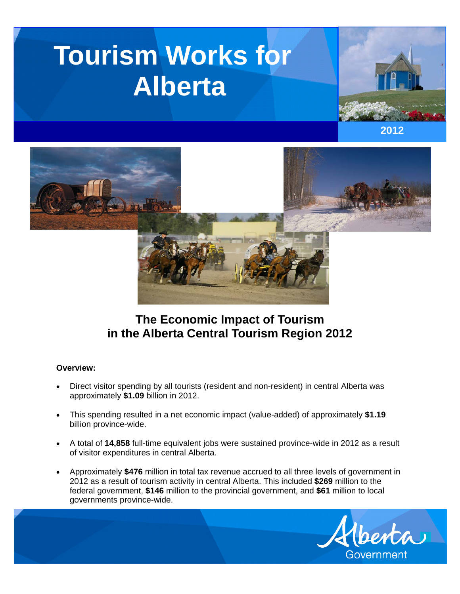# **Tourism Works for Alberta**







# **The Economic Impact of Tourism in the Alberta Central Tourism Region 2012**

#### **Overview:**

- Direct visitor spending by all tourists (resident and non-resident) in central Alberta was approximately **\$1.09** billion in 2012.
- This spending resulted in a net economic impact (value-added) of approximately **\$1.19**  billion province-wide.
- A total of **14,858** full-time equivalent jobs were sustained province-wide in 2012 as a result of visitor expenditures in central Alberta.
- Approximately **\$476** million in total tax revenue accrued to all three levels of government in 2012 as a result of tourism activity in central Alberta. This included **\$269** million to the federal government, **\$146** million to the provincial government, and **\$61** million to local governments province-wide.

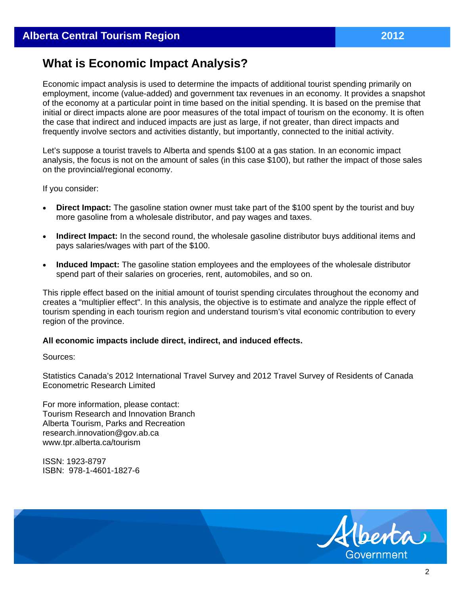# **What is Economic Impact Analysis?**

Economic impact analysis is used to determine the impacts of additional tourist spending primarily on employment, income (value-added) and government tax revenues in an economy. It provides a snapshot of the economy at a particular point in time based on the initial spending. It is based on the premise that initial or direct impacts alone are poor measures of the total impact of tourism on the economy. It is often the case that indirect and induced impacts are just as large, if not greater, than direct impacts and frequently involve sectors and activities distantly, but importantly, connected to the initial activity.

Let's suppose a tourist travels to Alberta and spends \$100 at a gas station. In an economic impact analysis, the focus is not on the amount of sales (in this case \$100), but rather the impact of those sales on the provincial/regional economy.

If you consider:

- **Direct Impact:** The gasoline station owner must take part of the \$100 spent by the tourist and buy more gasoline from a wholesale distributor, and pay wages and taxes.
- **Indirect Impact:** In the second round, the wholesale gasoline distributor buys additional items and pays salaries/wages with part of the \$100.
- **Induced Impact:** The gasoline station employees and the employees of the wholesale distributor spend part of their salaries on groceries, rent, automobiles, and so on.

This ripple effect based on the initial amount of tourist spending circulates throughout the economy and creates a "multiplier effect". In this analysis, the objective is to estimate and analyze the ripple effect of tourism spending in each tourism region and understand tourism's vital economic contribution to every region of the province.

#### **All economic impacts include direct, indirect, and induced effects.**

Sources:

Statistics Canada's 2012 International Travel Survey and 2012 Travel Survey of Residents of Canada Econometric Research Limited

For more information, please contact: Tourism Research and Innovation Branch Alberta Tourism, Parks and Recreation research.innovation@gov.ab.ca www.tpr.alberta.ca/tourism

ISSN: 1923-8797 ISBN: 978-1-4601-1827-6

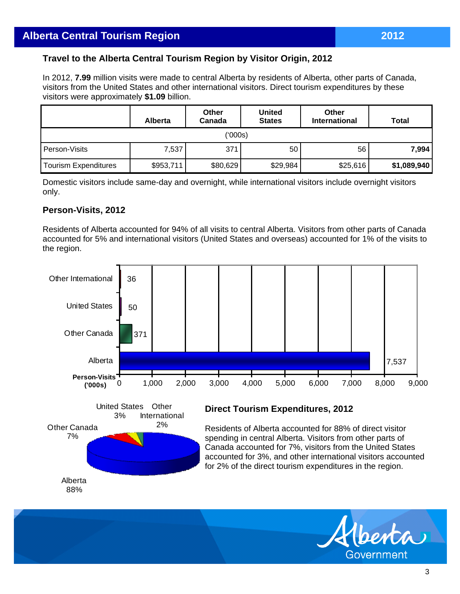# **Travel to the Alberta Central Tourism Region by Visitor Origin, 2012**

In 2012, **7.99** million visits were made to central Alberta by residents of Alberta, other parts of Canada, visitors from the United States and other international visitors. Direct tourism expenditures by these visitors were approximately **\$1.09** billion.

|                      | <b>Alberta</b> | Other<br>Canada | <b>United</b><br><b>States</b> | Other<br><b>International</b> | <b>Total</b> |  |  |  |
|----------------------|----------------|-----------------|--------------------------------|-------------------------------|--------------|--|--|--|
| (000s)               |                |                 |                                |                               |              |  |  |  |
| Person-Visits        | 7,537          | 371             | 50 <sup>1</sup>                | 56                            | 7,994        |  |  |  |
| Tourism Expenditures | \$953,711      | \$80,629        | \$29,984                       | \$25,616                      | \$1,089,940  |  |  |  |

Domestic visitors include same-day and overnight, while international visitors include overnight visitors only.

## **Person-Visits, 2012**

Residents of Alberta accounted for 94% of all visits to central Alberta. Visitors from other parts of Canada accounted for 5% and international visitors (United States and overseas) accounted for 1% of the visits to the region.